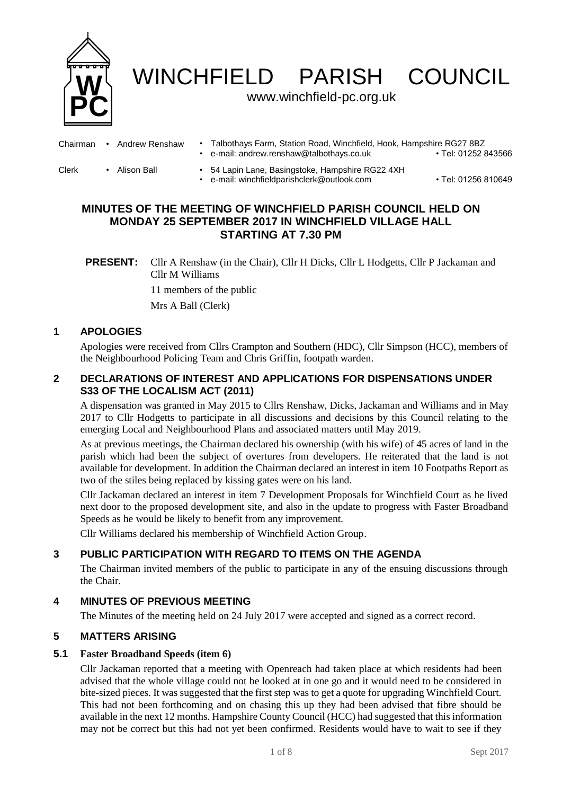

WINCHFIELD PARISH COUNCIL

### www.winchfield-pc.org.uk

| Chairman | Andrew Renshaw | Talbothays Farm, Station Road, Winchfield, Hook, Hampshire RG27 8BZ<br>e-mail: andrew.renshaw@talbothays.co.uk | • Tel: 01252 843566 |
|----------|----------------|----------------------------------------------------------------------------------------------------------------|---------------------|
| Clerk    | Alison Ball    | 54 Lapin Lane, Basingstoke, Hampshire RG22 4XH<br>e-mail: winchfieldparishclerk@outlook.com                    | • Tel: 01256 810649 |

# **MINUTES OF THE MEETING OF WINCHFIELD PARISH COUNCIL HELD ON MONDAY 25 SEPTEMBER 2017 IN WINCHFIELD VILLAGE HALL STARTING AT 7.30 PM**

**PRESENT:** Cllr A Renshaw (in the Chair), Cllr H Dicks, Cllr L Hodgetts, Cllr P Jackaman and Cllr M Williams 11 members of the public Mrs A Ball (Clerk)

# **1 APOLOGIES**

Apologies were received from Cllrs Crampton and Southern (HDC), Cllr Simpson (HCC), members of the Neighbourhood Policing Team and Chris Griffin, footpath warden.

### **2 DECLARATIONS OF INTEREST AND APPLICATIONS FOR DISPENSATIONS UNDER S33 OF THE LOCALISM ACT (2011)**

A dispensation was granted in May 2015 to Cllrs Renshaw, Dicks, Jackaman and Williams and in May 2017 to Cllr Hodgetts to participate in all discussions and decisions by this Council relating to the emerging Local and Neighbourhood Plans and associated matters until May 2019.

As at previous meetings, the Chairman declared his ownership (with his wife) of 45 acres of land in the parish which had been the subject of overtures from developers. He reiterated that the land is not available for development. In addition the Chairman declared an interest in item 10 Footpaths Report as two of the stiles being replaced by kissing gates were on his land.

Cllr Jackaman declared an interest in item 7 Development Proposals for Winchfield Court as he lived next door to the proposed development site, and also in the update to progress with Faster Broadband Speeds as he would be likely to benefit from any improvement.

Cllr Williams declared his membership of Winchfield Action Group.

# **3 PUBLIC PARTICIPATION WITH REGARD TO ITEMS ON THE AGENDA**

The Chairman invited members of the public to participate in any of the ensuing discussions through the Chair.

### **4 MINUTES OF PREVIOUS MEETING**

The Minutes of the meeting held on 24 July 2017 were accepted and signed as a correct record.

### **5 MATTERS ARISING**

#### **5.1 Faster Broadband Speeds (item 6)**

Cllr Jackaman reported that a meeting with Openreach had taken place at which residents had been advised that the whole village could not be looked at in one go and it would need to be considered in bite-sized pieces. It was suggested that the first step was to get a quote for upgrading Winchfield Court. This had not been forthcoming and on chasing this up they had been advised that fibre should be available in the next 12 months. Hampshire County Council (HCC) had suggested that this information may not be correct but this had not yet been confirmed. Residents would have to wait to see if they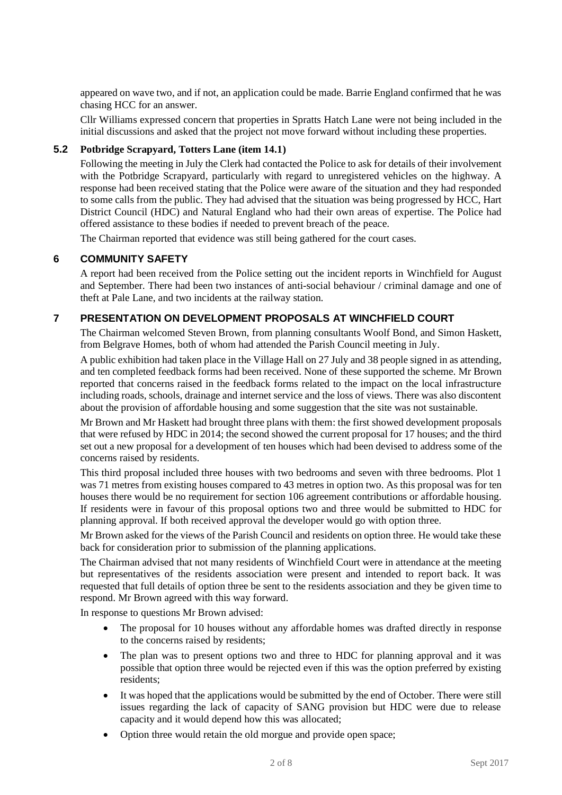appeared on wave two, and if not, an application could be made. Barrie England confirmed that he was chasing HCC for an answer.

Cllr Williams expressed concern that properties in Spratts Hatch Lane were not being included in the initial discussions and asked that the project not move forward without including these properties.

### **5.2 Potbridge Scrapyard, Totters Lane (item 14.1)**

Following the meeting in July the Clerk had contacted the Police to ask for details of their involvement with the Potbridge Scrapyard, particularly with regard to unregistered vehicles on the highway. A response had been received stating that the Police were aware of the situation and they had responded to some calls from the public. They had advised that the situation was being progressed by HCC, Hart District Council (HDC) and Natural England who had their own areas of expertise. The Police had offered assistance to these bodies if needed to prevent breach of the peace.

The Chairman reported that evidence was still being gathered for the court cases.

#### **6 COMMUNITY SAFETY**

A report had been received from the Police setting out the incident reports in Winchfield for August and September. There had been two instances of anti-social behaviour / criminal damage and one of theft at Pale Lane, and two incidents at the railway station.

### **7 PRESENTATION ON DEVELOPMENT PROPOSALS AT WINCHFIELD COURT**

The Chairman welcomed Steven Brown, from planning consultants Woolf Bond, and Simon Haskett, from Belgrave Homes, both of whom had attended the Parish Council meeting in July.

A public exhibition had taken place in the Village Hall on 27 July and 38 people signed in as attending, and ten completed feedback forms had been received. None of these supported the scheme. Mr Brown reported that concerns raised in the feedback forms related to the impact on the local infrastructure including roads, schools, drainage and internet service and the loss of views. There was also discontent about the provision of affordable housing and some suggestion that the site was not sustainable.

Mr Brown and Mr Haskett had brought three plans with them: the first showed development proposals that were refused by HDC in 2014; the second showed the current proposal for 17 houses; and the third set out a new proposal for a development of ten houses which had been devised to address some of the concerns raised by residents.

This third proposal included three houses with two bedrooms and seven with three bedrooms. Plot 1 was 71 metres from existing houses compared to 43 metres in option two. As this proposal was for ten houses there would be no requirement for section 106 agreement contributions or affordable housing. If residents were in favour of this proposal options two and three would be submitted to HDC for planning approval. If both received approval the developer would go with option three.

Mr Brown asked for the views of the Parish Council and residents on option three. He would take these back for consideration prior to submission of the planning applications.

The Chairman advised that not many residents of Winchfield Court were in attendance at the meeting but representatives of the residents association were present and intended to report back. It was requested that full details of option three be sent to the residents association and they be given time to respond. Mr Brown agreed with this way forward.

In response to questions Mr Brown advised:

- The proposal for 10 houses without any affordable homes was drafted directly in response to the concerns raised by residents;
- The plan was to present options two and three to HDC for planning approval and it was possible that option three would be rejected even if this was the option preferred by existing residents;
- It was hoped that the applications would be submitted by the end of October. There were still issues regarding the lack of capacity of SANG provision but HDC were due to release capacity and it would depend how this was allocated;
- Option three would retain the old morgue and provide open space;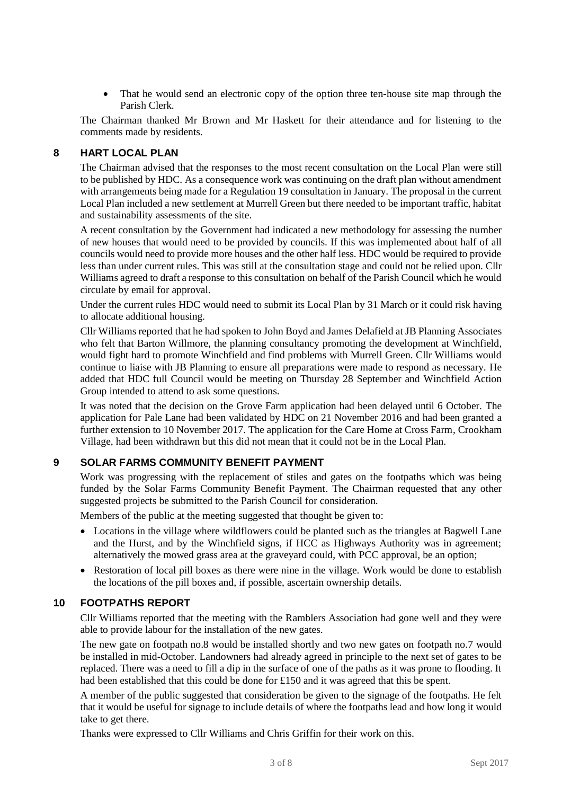• That he would send an electronic copy of the option three ten-house site map through the Parish Clerk.

The Chairman thanked Mr Brown and Mr Haskett for their attendance and for listening to the comments made by residents.

### **8 HART LOCAL PLAN**

The Chairman advised that the responses to the most recent consultation on the Local Plan were still to be published by HDC. As a consequence work was continuing on the draft plan without amendment with arrangements being made for a Regulation 19 consultation in January. The proposal in the current Local Plan included a new settlement at Murrell Green but there needed to be important traffic, habitat and sustainability assessments of the site.

A recent consultation by the Government had indicated a new methodology for assessing the number of new houses that would need to be provided by councils. If this was implemented about half of all councils would need to provide more houses and the other half less. HDC would be required to provide less than under current rules. This was still at the consultation stage and could not be relied upon. Cllr Williams agreed to draft a response to this consultation on behalf of the Parish Council which he would circulate by email for approval.

Under the current rules HDC would need to submit its Local Plan by 31 March or it could risk having to allocate additional housing.

Cllr Williams reported that he had spoken to John Boyd and James Delafield at JB Planning Associates who felt that Barton Willmore, the planning consultancy promoting the development at Winchfield, would fight hard to promote Winchfield and find problems with Murrell Green. Cllr Williams would continue to liaise with JB Planning to ensure all preparations were made to respond as necessary. He added that HDC full Council would be meeting on Thursday 28 September and Winchfield Action Group intended to attend to ask some questions.

It was noted that the decision on the Grove Farm application had been delayed until 6 October. The application for Pale Lane had been validated by HDC on 21 November 2016 and had been granted a further extension to 10 November 2017. The application for the Care Home at Cross Farm, Crookham Village, had been withdrawn but this did not mean that it could not be in the Local Plan.

# **9 SOLAR FARMS COMMUNITY BENEFIT PAYMENT**

Work was progressing with the replacement of stiles and gates on the footpaths which was being funded by the Solar Farms Community Benefit Payment. The Chairman requested that any other suggested projects be submitted to the Parish Council for consideration.

Members of the public at the meeting suggested that thought be given to:

- Locations in the village where wildflowers could be planted such as the triangles at Bagwell Lane and the Hurst, and by the Winchfield signs, if HCC as Highways Authority was in agreement; alternatively the mowed grass area at the graveyard could, with PCC approval, be an option;
- Restoration of local pill boxes as there were nine in the village. Work would be done to establish the locations of the pill boxes and, if possible, ascertain ownership details.

#### **10 FOOTPATHS REPORT**

Cllr Williams reported that the meeting with the Ramblers Association had gone well and they were able to provide labour for the installation of the new gates.

The new gate on footpath no.8 would be installed shortly and two new gates on footpath no.7 would be installed in mid-October. Landowners had already agreed in principle to the next set of gates to be replaced. There was a need to fill a dip in the surface of one of the paths as it was prone to flooding. It had been established that this could be done for £150 and it was agreed that this be spent.

A member of the public suggested that consideration be given to the signage of the footpaths. He felt that it would be useful for signage to include details of where the footpaths lead and how long it would take to get there.

Thanks were expressed to Cllr Williams and Chris Griffin for their work on this.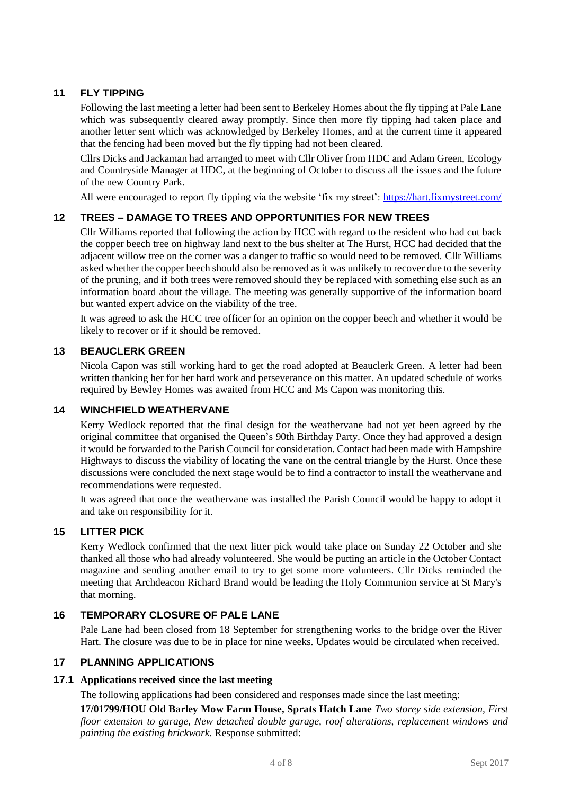# **11 FLY TIPPING**

Following the last meeting a letter had been sent to Berkeley Homes about the fly tipping at Pale Lane which was subsequently cleared away promptly. Since then more fly tipping had taken place and another letter sent which was acknowledged by Berkeley Homes, and at the current time it appeared that the fencing had been moved but the fly tipping had not been cleared.

Cllrs Dicks and Jackaman had arranged to meet with Cllr Oliver from HDC and Adam Green, Ecology and Countryside Manager at HDC, at the beginning of October to discuss all the issues and the future of the new Country Park.

All were encouraged to report fly tipping via the website 'fix my street':<https://hart.fixmystreet.com/>

# **12 TREES – DAMAGE TO TREES AND OPPORTUNITIES FOR NEW TREES**

Cllr Williams reported that following the action by HCC with regard to the resident who had cut back the copper beech tree on highway land next to the bus shelter at The Hurst, HCC had decided that the adjacent willow tree on the corner was a danger to traffic so would need to be removed. Cllr Williams asked whether the copper beech should also be removed as it was unlikely to recover due to the severity of the pruning, and if both trees were removed should they be replaced with something else such as an information board about the village. The meeting was generally supportive of the information board but wanted expert advice on the viability of the tree.

It was agreed to ask the HCC tree officer for an opinion on the copper beech and whether it would be likely to recover or if it should be removed.

### **13 BEAUCLERK GREEN**

Nicola Capon was still working hard to get the road adopted at Beauclerk Green. A letter had been written thanking her for her hard work and perseverance on this matter. An updated schedule of works required by Bewley Homes was awaited from HCC and Ms Capon was monitoring this.

#### **14 WINCHFIELD WEATHERVANE**

Kerry Wedlock reported that the final design for the weathervane had not yet been agreed by the original committee that organised the Queen's 90th Birthday Party. Once they had approved a design it would be forwarded to the Parish Council for consideration. Contact had been made with Hampshire Highways to discuss the viability of locating the vane on the central triangle by the Hurst. Once these discussions were concluded the next stage would be to find a contractor to install the weathervane and recommendations were requested.

It was agreed that once the weathervane was installed the Parish Council would be happy to adopt it and take on responsibility for it.

### **15 LITTER PICK**

Kerry Wedlock confirmed that the next litter pick would take place on Sunday 22 October and she thanked all those who had already volunteered. She would be putting an article in the October Contact magazine and sending another email to try to get some more volunteers. Cllr Dicks reminded the meeting that Archdeacon Richard Brand would be leading the Holy Communion service at St Mary's that morning.

### **16 TEMPORARY CLOSURE OF PALE LANE**

Pale Lane had been closed from 18 September for strengthening works to the bridge over the River Hart. The closure was due to be in place for nine weeks. Updates would be circulated when received.

### **17 PLANNING APPLICATIONS**

#### **17.1 Applications received since the last meeting**

The following applications had been considered and responses made since the last meeting:

**17/01799/HOU Old Barley Mow Farm House, Sprats Hatch Lane** *Two storey side extension, First floor extension to garage, New detached double garage, roof alterations, replacement windows and painting the existing brickwork.* Response submitted: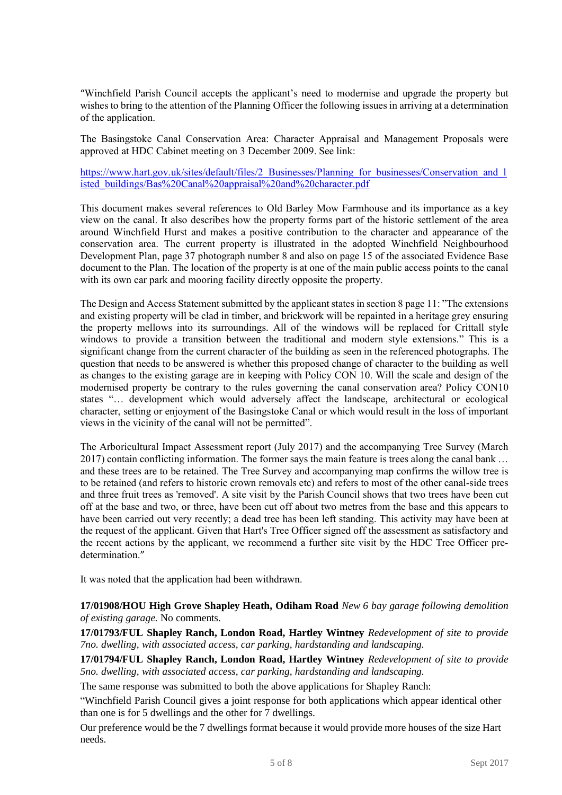"Winchfield Parish Council accepts the applicant's need to modernise and upgrade the property but wishes to bring to the attention of the Planning Officer the following issues in arriving at a determination of the application.

The Basingstoke Canal Conservation Area: Character Appraisal and Management Proposals were approved at HDC Cabinet meeting on 3 December 2009. See link:

https://www.hart.gov.uk/sites/default/files/2 Businesses/Planning for businesses/Conservation and 1 [isted\\_buildings/Bas%20Canal%20appraisal%20and%20character.pdf](https://www.hart.gov.uk/sites/default/files/2_Businesses/Planning_for_businesses/Conservation_and_listed_buildings/Bas%2520Canal%2520appraisal%2520and%2520character.pdf)

This document makes several references to Old Barley Mow Farmhouse and its importance as a key view on the canal. It also describes how the property forms part of the historic settlement of the area around Winchfield Hurst and makes a positive contribution to the character and appearance of the conservation area. The current property is illustrated in the adopted Winchfield Neighbourhood Development Plan, page 37 photograph number 8 and also on page 15 of the associated Evidence Base document to the Plan. The location of the property is at one of the main public access points to the canal with its own car park and mooring facility directly opposite the property.

The Design and Access Statement submitted by the applicant states in section 8 page 11: "The extensions and existing property will be clad in timber, and brickwork will be repainted in a heritage grey ensuring the property mellows into its surroundings. All of the windows will be replaced for Crittall style windows to provide a transition between the traditional and modern style extensions." This is a significant change from the current character of the building as seen in the referenced photographs. The question that needs to be answered is whether this proposed change of character to the building as well as changes to the existing garage are in keeping with Policy CON 10. Will the scale and design of the modernised property be contrary to the rules governing the canal conservation area? Policy CON10 states "… development which would adversely affect the landscape, architectural or ecological character, setting or enjoyment of the Basingstoke Canal or which would result in the loss of important views in the vicinity of the canal will not be permitted".

The Arboricultural Impact Assessment report (July 2017) and the accompanying Tree Survey (March 2017) contain conflicting information. The former says the main feature is trees along the canal bank … and these trees are to be retained. The Tree Survey and accompanying map confirms the willow tree is to be retained (and refers to historic crown removals etc) and refers to most of the other canal-side trees and three fruit trees as 'removed'. A site visit by the Parish Council shows that two trees have been cut off at the base and two, or three, have been cut off about two metres from the base and this appears to have been carried out very recently; a dead tree has been left standing. This activity may have been at the request of the applicant. Given that Hart's Tree Officer signed off the assessment as satisfactory and the recent actions by the applicant, we recommend a further site visit by the HDC Tree Officer predetermination."

It was noted that the application had been withdrawn.

**17/01908/HOU High Grove Shapley Heath, Odiham Road** *New 6 bay garage following demolition of existing garage.* No comments.

**17/01793/FUL Shapley Ranch, London Road, Hartley Wintney** *Redevelopment of site to provide 7no. dwelling, with associated access, car parking, hardstanding and landscaping.*

**17/01794/FUL Shapley Ranch, London Road, Hartley Wintney** *Redevelopment of site to provide 5no. dwelling, with associated access, car parking, hardstanding and landscaping.*

The same response was submitted to both the above applications for Shapley Ranch:

"Winchfield Parish Council gives a joint response for both applications which appear identical other than one is for 5 dwellings and the other for 7 dwellings.

Our preference would be the 7 dwellings format because it would provide more houses of the size Hart needs.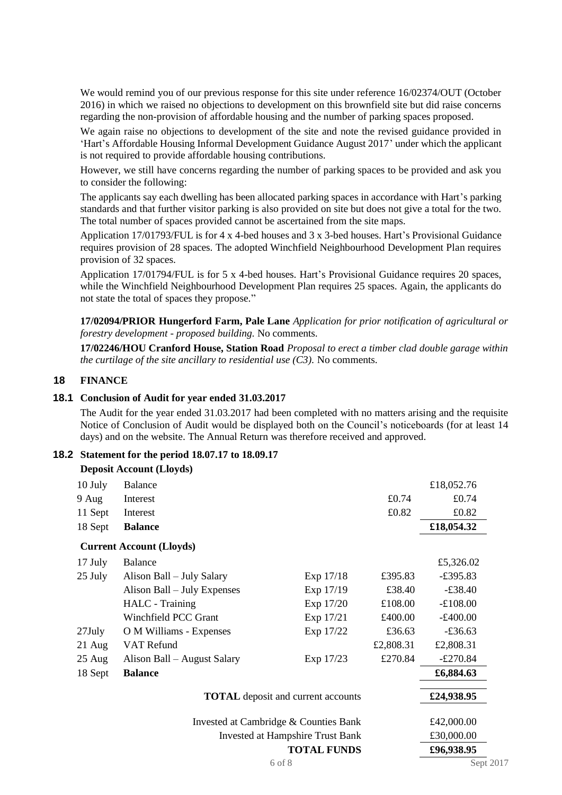We would remind you of our previous response for this site under reference  $16/02374/OUT$  (October 2016) in which we raised no objections to development on this brownfield site but did raise concerns regarding the non-provision of affordable housing and the number of parking spaces proposed.

We again raise no objections to development of the site and note the revised guidance provided in 'Hart's Affordable Housing Informal Development Guidance August 2017' under which the applicant is not required to provide affordable housing contributions.

However, we still have concerns regarding the number of parking spaces to be provided and ask you to consider the following:

The applicants say each dwelling has been allocated parking spaces in accordance with Hart's parking standards and that further visitor parking is also provided on site but does not give a total for the two. The total number of spaces provided cannot be ascertained from the site maps.

Application 17/01793/FUL is for 4 x 4-bed houses and 3 x 3-bed houses. Hart's Provisional Guidance requires provision of 28 spaces. The adopted Winchfield Neighbourhood Development Plan requires provision of 32 spaces.

Application 17/01794/FUL is for 5 x 4-bed houses. Hart's Provisional Guidance requires 20 spaces, while the Winchfield Neighbourhood Development Plan requires 25 spaces. Again, the applicants do not state the total of spaces they propose."

**17/02094/PRIOR Hungerford Farm, Pale Lane** *Application for prior notification of agricultural or forestry development - proposed building.* No comments.

**17/02246/HOU Cranford House, Station Road** *Proposal to erect a timber clad double garage within the curtilage of the site ancillary to residential use (C3).* No comments.

#### **18 FINANCE**

#### **18.1 Conclusion of Audit for year ended 31.03.2017**

The Audit for the year ended 31.03.2017 had been completed with no matters arising and the requisite Notice of Conclusion of Audit would be displayed both on the Council's noticeboards (for at least 14 days) and on the website. The Annual Return was therefore received and approved.

#### **18.2 Statement for the period 18.07.17 to 18.09.17**

|                                           | <b>Deposit Account (Lloyds)</b> |           |           |                   |
|-------------------------------------------|---------------------------------|-----------|-----------|-------------------|
| 10 July                                   | <b>Balance</b>                  |           |           | £18,052.76        |
| 9 Aug                                     | Interest                        |           | £0.74     | £0.74             |
| 11 Sept                                   | Interest                        |           | £0.82     | £0.82             |
| 18 Sept                                   | <b>Balance</b>                  |           |           | £18,054.32        |
|                                           | <b>Current Account (Lloyds)</b> |           |           |                   |
| 17 July                                   | <b>Balance</b>                  |           |           | £5,326.02         |
| 25 July                                   | Alison Ball – July Salary       | Exp 17/18 | £395.83   | $-\pounds 395.83$ |
|                                           | Alison Ball – July Expenses     | Exp 17/19 | £38.40    | $-£38.40$         |
|                                           | HALC - Training                 | Exp 17/20 | £108.00   | $-£108.00$        |
|                                           | Winchfield PCC Grant            | Exp 17/21 | £400.00   | $-\pounds400.00$  |
| $27$ July                                 | O M Williams - Expenses         | Exp 17/22 | £36.63    | $-£36.63$         |
| $21$ Aug                                  | VAT Refund                      |           | £2,808.31 | £2,808.31         |
| $25 \text{ Aug}$                          | Alison Ball – August Salary     | Exp 17/23 | £270.84   | $-£270.84$        |
| 18 Sept                                   | <b>Balance</b>                  |           |           | £6,884.63         |
| <b>TOTAL</b> deposit and current accounts |                                 |           |           | £24,938.95        |
|                                           |                                 |           |           |                   |

Invested at Cambridge & Counties Bank £42,000.00 Invested at Hampshire Trust Bank £30,000.00 **TOTAL FUNDS £96,938.95**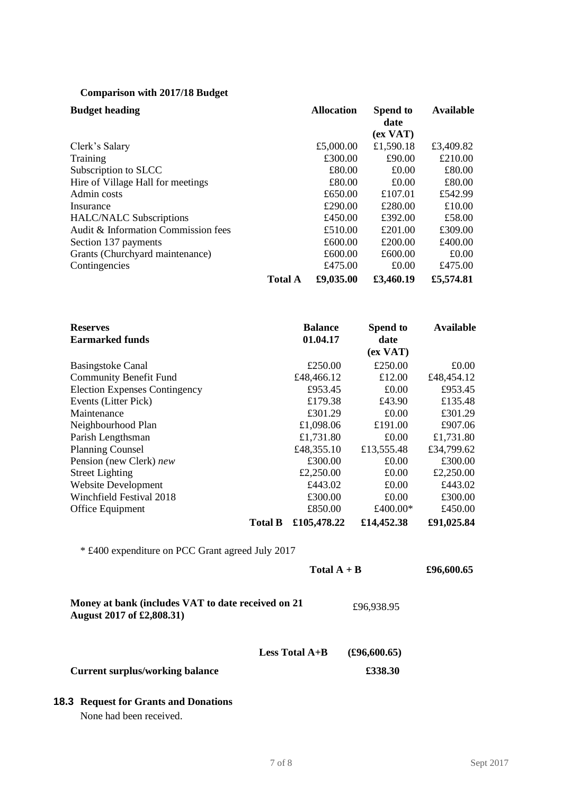# **Comparison with 2017/18 Budget**

| <b>Budget heading</b>               |                | <b>Allocation</b> | <b>Spend to</b><br>date | <b>Available</b> |
|-------------------------------------|----------------|-------------------|-------------------------|------------------|
|                                     |                |                   | (ex <sub>YAT</sub> )    |                  |
| Clerk's Salary                      |                | £5,000.00         | £1,590.18               | £3,409.82        |
| Training                            |                | £300.00           | £90.00                  | £210.00          |
| Subscription to SLCC                |                | £80.00            | £0.00                   | £80.00           |
| Hire of Village Hall for meetings   |                | £80.00            | £0.00                   | £80.00           |
| Admin costs                         |                | £650.00           | £107.01                 | £542.99          |
| Insurance                           |                | £290.00           | £280.00                 | £10.00           |
| <b>HALC/NALC Subscriptions</b>      |                | £450.00           | £392.00                 | £58.00           |
| Audit & Information Commission fees |                | £510.00           | £201.00                 | £309.00          |
| Section 137 payments                |                | £600.00           | £200.00                 | £400.00          |
| Grants (Churchyard maintenance)     |                | £600.00           | £600.00                 | £0.00            |
| Contingencies                       |                | £475.00           | £0.00                   | £475.00          |
|                                     | <b>Total A</b> | £9,035.00         | £3,460.19               | £5,574.81        |

| <b>Reserves</b>                      |                | <b>Balance</b> | Spend to         | <b>Available</b> |
|--------------------------------------|----------------|----------------|------------------|------------------|
| <b>Earmarked funds</b>               |                | 01.04.17       | date             |                  |
|                                      |                |                | (ex <b>VAT</b> ) |                  |
| <b>Basingstoke Canal</b>             |                | £250.00        | £250.00          | £0.00            |
| <b>Community Benefit Fund</b>        |                | £48,466.12     | £12.00           | £48,454.12       |
| <b>Election Expenses Contingency</b> |                | £953.45        | £0.00            | £953.45          |
| Events (Litter Pick)                 |                | £179.38        | £43.90           | £135.48          |
| Maintenance                          |                | £301.29        | £0.00            | £301.29          |
| Neighbourhood Plan                   |                | £1,098.06      | £191.00          | £907.06          |
| Parish Lengthsman                    |                | £1,731.80      | £0.00            | £1,731.80        |
| <b>Planning Counsel</b>              |                | £48,355.10     | £13,555.48       | £34,799.62       |
| Pension (new Clerk) new              |                | £300.00        | £0.00            | £300.00          |
| <b>Street Lighting</b>               |                | £2,250.00      | £0.00            | £2,250.00        |
| <b>Website Development</b>           |                | £443.02        | £0.00            | £443.02          |
| Winchfield Festival 2018             |                | £300.00        | £0.00            | £300.00          |
| Office Equipment                     |                | £850.00        | £400.00*         | £450.00          |
|                                      | <b>Total B</b> | £105,478.22    | £14,452.38       | £91,025.84       |

\* £400 expenditure on PCC Grant agreed July 2017

|                                                                                 | Total $A + B$ | £96,600.65 |
|---------------------------------------------------------------------------------|---------------|------------|
| Money at bank (includes VAT to date received on 21<br>August 2017 of £2,808.31) | £96,938.95    |            |
|                                                                                 |               |            |

**Less Total A+B (£96,600.65)**

**Current surplus/working balance**  $\qquad$  **£338.30** 

# **18.3 Request for Grants and Donations**

None had been received.